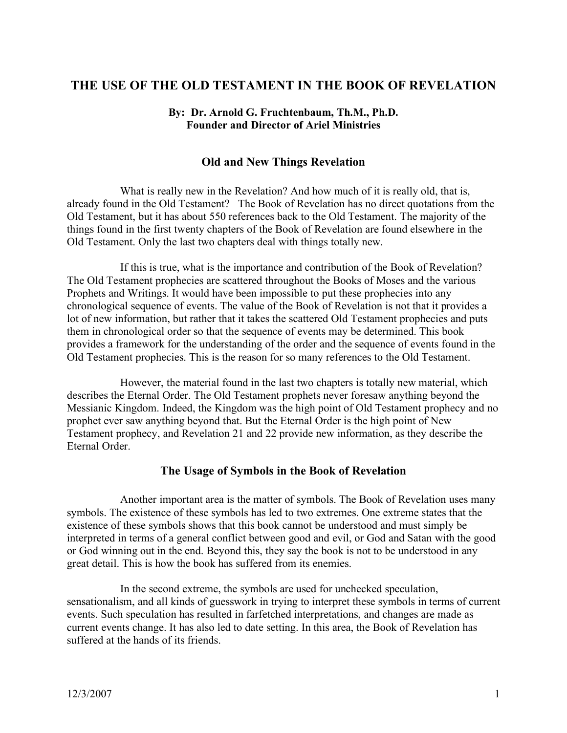# **THE USE OF THE OLD TESTAMENT IN THE BOOK OF REVELATION**

#### **By: Dr. Arnold G. Fruchtenbaum, Th.M., Ph.D. Founder and Director of Ariel Ministries**

### **Old and New Things Revelation**

What is really new in the Revelation? And how much of it is really old, that is, already found in the Old Testament? The Book of Revelation has no direct quotations from the Old Testament, but it has about 550 references back to the Old Testament. The majority of the things found in the first twenty chapters of the Book of Revelation are found elsewhere in the Old Testament. Only the last two chapters deal with things totally new.

If this is true, what is the importance and contribution of the Book of Revelation? The Old Testament prophecies are scattered throughout the Books of Moses and the various Prophets and Writings. It would have been impossible to put these prophecies into any chronological sequence of events. The value of the Book of Revelation is not that it provides a lot of new information, but rather that it takes the scattered Old Testament prophecies and puts them in chronological order so that the sequence of events may be determined. This book provides a framework for the understanding of the order and the sequence of events found in the Old Testament prophecies. This is the reason for so many references to the Old Testament.

However, the material found in the last two chapters is totally new material, which describes the Eternal Order. The Old Testament prophets never foresaw anything beyond the Messianic Kingdom. Indeed, the Kingdom was the high point of Old Testament prophecy and no prophet ever saw anything beyond that. But the Eternal Order is the high point of New Testament prophecy, and Revelation 21 and 22 provide new information, as they describe the Eternal Order.

#### **The Usage of Symbols in the Book of Revelation**

Another important area is the matter of symbols. The Book of Revelation uses many symbols. The existence of these symbols has led to two extremes. One extreme states that the existence of these symbols shows that this book cannot be understood and must simply be interpreted in terms of a general conflict between good and evil, or God and Satan with the good or God winning out in the end. Beyond this, they say the book is not to be understood in any great detail. This is how the book has suffered from its enemies.

In the second extreme, the symbols are used for unchecked speculation, sensationalism, and all kinds of guesswork in trying to interpret these symbols in terms of current events. Such speculation has resulted in farfetched interpretations, and changes are made as current events change. It has also led to date setting. In this area, the Book of Revelation has suffered at the hands of its friends.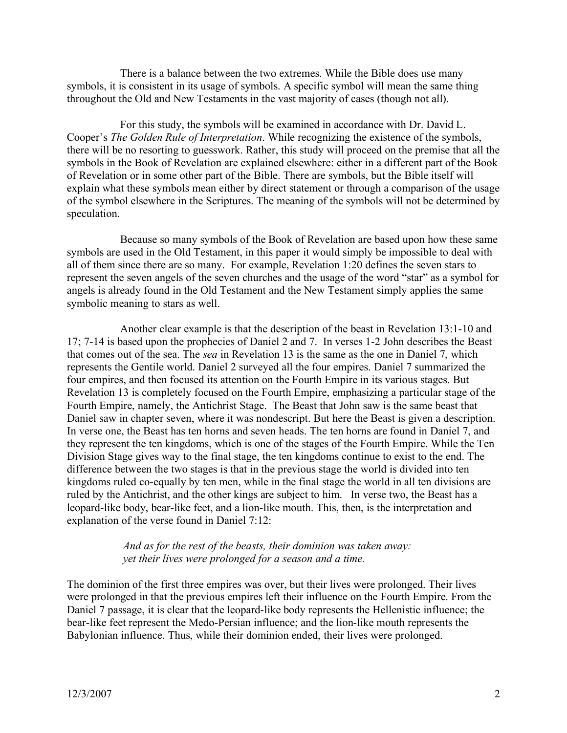There is a balance between the two extremes. While the Bible does use many symbols, it is consistent in its usage of symbols. A specific symbol will mean the same thing throughout the Old and New Testaments in the vast majority of cases (though not all).

For this study, the symbols will be examined in accordance with Dr. David L. Cooper's *The Golden Rule of Interpretation*. While recognizing the existence of the symbols, there will be no resorting to guesswork. Rather, this study will proceed on the premise that all the symbols in the Book of Revelation are explained elsewhere: either in a different part of the Book of Revelation or in some other part of the Bible. There are symbols, but the Bible itself will explain what these symbols mean either by direct statement or through a comparison of the usage of the symbol elsewhere in the Scriptures. The meaning of the symbols will not be determined by speculation.

Because so many symbols of the Book of Revelation are based upon how these same symbols are used in the Old Testament, in this paper it would simply be impossible to deal with all of them since there are so many. For example, Revelation 1:20 defines the seven stars to represent the seven angels of the seven churches and the usage of the word "star" as a symbol for angels is already found in the Old Testament and the New Testament simply applies the same symbolic meaning to stars as well.

Another clear example is that the description of the beast in Revelation 13:1-10 and 17; 7-14 is based upon the prophecies of Daniel 2 and 7. In verses 1-2 John describes the Beast that comes out of the sea. The *sea* in Revelation 13 is the same as the one in Daniel 7, which represents the Gentile world. Daniel 2 surveyed all the four empires. Daniel 7 summarized the four empires, and then focused its attention on the Fourth Empire in its various stages. But Revelation 13 is completely focused on the Fourth Empire, emphasizing a particular stage of the Fourth Empire, namely, the Antichrist Stage. The Beast that John saw is the same beast that Daniel saw in chapter seven, where it was nondescript. But here the Beast is given a description. In verse one, the Beast has ten horns and seven heads. The ten horns are found in Daniel 7, and they represent the ten kingdoms, which is one of the stages of the Fourth Empire. While the Ten Division Stage gives way to the final stage, the ten kingdoms continue to exist to the end. The difference between the two stages is that in the previous stage the world is divided into ten kingdoms ruled co-equally by ten men, while in the final stage the world in all ten divisions are ruled by the Antichrist, and the other kings are subject to him. In verse two, the Beast has a leopard-like body, bear-like feet, and a lion-like mouth. This, then, is the interpretation and explanation of the verse found in Daniel 7:12:

#### *And as for the rest of the beasts, their dominion was taken away: yet their lives were prolonged for a season and a time.*

The dominion of the first three empires was over, but their lives were prolonged. Their lives were prolonged in that the previous empires left their influence on the Fourth Empire. From the Daniel 7 passage, it is clear that the leopard-like body represents the Hellenistic influence; the bear-like feet represent the Medo-Persian influence; and the lion-like mouth represents the Babylonian influence. Thus, while their dominion ended, their lives were prolonged.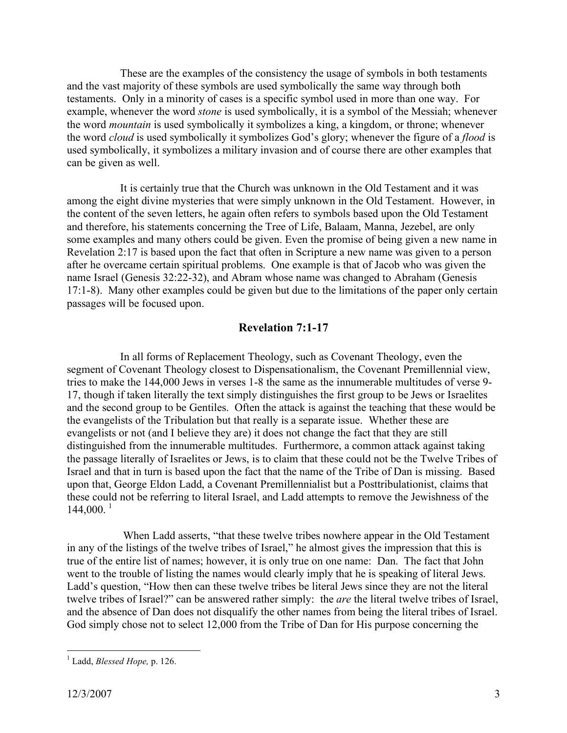These are the examples of the consistency the usage of symbols in both testaments and the vast majority of these symbols are used symbolically the same way through both testaments. Only in a minority of cases is a specific symbol used in more than one way. For example, whenever the word *stone* is used symbolically, it is a symbol of the Messiah; whenever the word *mountain* is used symbolically it symbolizes a king, a kingdom, or throne; whenever the word *cloud* is used symbolically it symbolizes God's glory; whenever the figure of a *flood* is used symbolically, it symbolizes a military invasion and of course there are other examples that can be given as well.

It is certainly true that the Church was unknown in the Old Testament and it was among the eight divine mysteries that were simply unknown in the Old Testament. However, in the content of the seven letters, he again often refers to symbols based upon the Old Testament and therefore, his statements concerning the Tree of Life, Balaam, Manna, Jezebel, are only some examples and many others could be given. Even the promise of being given a new name in Revelation 2:17 is based upon the fact that often in Scripture a new name was given to a person after he overcame certain spiritual problems. One example is that of Jacob who was given the name Israel (Genesis 32:22-32), and Abram whose name was changed to Abraham (Genesis 17:1-8). Many other examples could be given but due to the limitations of the paper only certain passages will be focused upon.

#### **Revelation 7:1-17**

In all forms of Replacement Theology, such as Covenant Theology, even the segment of Covenant Theology closest to Dispensationalism, the Covenant Premillennial view, tries to make the 144,000 Jews in verses 1-8 the same as the innumerable multitudes of verse 9- 17, though if taken literally the text simply distinguishes the first group to be Jews or Israelites and the second group to be Gentiles. Often the attack is against the teaching that these would be the evangelists of the Tribulation but that really is a separate issue. Whether these are evangelists or not (and I believe they are) it does not change the fact that they are still distinguished from the innumerable multitudes. Furthermore, a common attack against taking the passage literally of Israelites or Jews, is to claim that these could not be the Twelve Tribes of Israel and that in turn is based upon the fact that the name of the Tribe of Dan is missing. Based upon that, George Eldon Ladd, a Covenant Premillennialist but a Posttribulationist, claims that these could not be referring to literal Israel, and Ladd attempts to remove the Jewishness of the  $144,000^{1}$ 

When Ladd asserts, "that these twelve tribes nowhere appear in the Old Testament in any of the listings of the twelve tribes of Israel," he almost gives the impression that this is true of the entire list of names; however, it is only true on one name: Dan. The fact that John went to the trouble of listing the names would clearly imply that he is speaking of literal Jews. Ladd's question, "How then can these twelve tribes be literal Jews since they are not the literal twelve tribes of Israel?" can be answered rather simply: the *are* the literal twelve tribes of Israel, and the absence of Dan does not disqualify the other names from being the literal tribes of Israel. God simply chose not to select 12,000 from the Tribe of Dan for His purpose concerning the

 <sup>1</sup> Ladd, *Blessed Hope,* p. 126.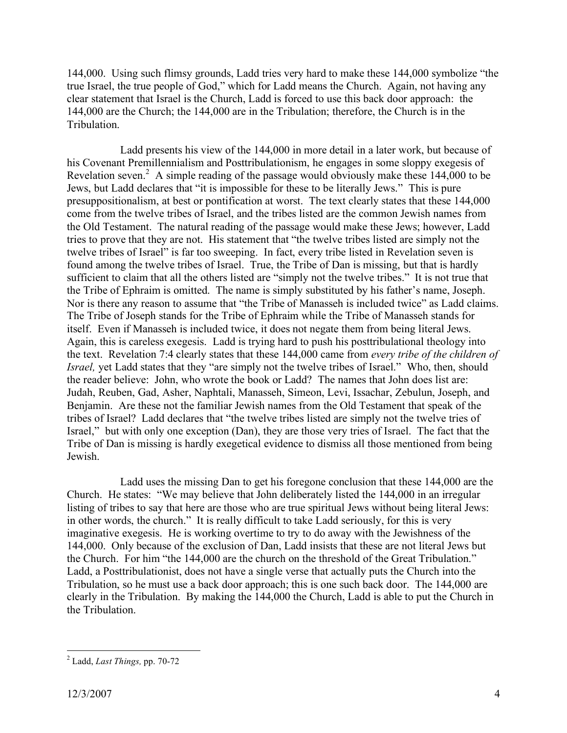144,000. Using such flimsy grounds, Ladd tries very hard to make these 144,000 symbolize "the true Israel, the true people of God," which for Ladd means the Church. Again, not having any clear statement that Israel is the Church, Ladd is forced to use this back door approach: the 144,000 are the Church; the 144,000 are in the Tribulation; therefore, the Church is in the Tribulation.

Ladd presents his view of the 144,000 in more detail in a later work, but because of his Covenant Premillennialism and Posttribulationism, he engages in some sloppy exegesis of Revelation seven.<sup>2</sup> A simple reading of the passage would obviously make these 144,000 to be Jews, but Ladd declares that "it is impossible for these to be literally Jews." This is pure presuppositionalism, at best or pontification at worst. The text clearly states that these 144,000 come from the twelve tribes of Israel, and the tribes listed are the common Jewish names from the Old Testament. The natural reading of the passage would make these Jews; however, Ladd tries to prove that they are not. His statement that "the twelve tribes listed are simply not the twelve tribes of Israel" is far too sweeping. In fact, every tribe listed in Revelation seven is found among the twelve tribes of Israel. True, the Tribe of Dan is missing, but that is hardly sufficient to claim that all the others listed are "simply not the twelve tribes." It is not true that the Tribe of Ephraim is omitted. The name is simply substituted by his father's name, Joseph. Nor is there any reason to assume that "the Tribe of Manasseh is included twice" as Ladd claims. The Tribe of Joseph stands for the Tribe of Ephraim while the Tribe of Manasseh stands for itself. Even if Manasseh is included twice, it does not negate them from being literal Jews. Again, this is careless exegesis. Ladd is trying hard to push his posttribulational theology into the text. Revelation 7:4 clearly states that these 144,000 came from *every tribe of the children of Israel,* yet Ladd states that they "are simply not the twelve tribes of Israel." Who, then, should the reader believe: John, who wrote the book or Ladd? The names that John does list are: Judah, Reuben, Gad, Asher, Naphtali, Manasseh, Simeon, Levi, Issachar, Zebulun, Joseph, and Benjamin. Are these not the familiar Jewish names from the Old Testament that speak of the tribes of Israel? Ladd declares that "the twelve tribes listed are simply not the twelve tries of Israel," but with only one exception (Dan), they are those very tries of Israel. The fact that the Tribe of Dan is missing is hardly exegetical evidence to dismiss all those mentioned from being Jewish.

Ladd uses the missing Dan to get his foregone conclusion that these 144,000 are the Church. He states: "We may believe that John deliberately listed the 144,000 in an irregular listing of tribes to say that here are those who are true spiritual Jews without being literal Jews: in other words, the church." It is really difficult to take Ladd seriously, for this is very imaginative exegesis. He is working overtime to try to do away with the Jewishness of the 144,000. Only because of the exclusion of Dan, Ladd insists that these are not literal Jews but the Church. For him "the 144,000 are the church on the threshold of the Great Tribulation." Ladd, a Posttribulationist, does not have a single verse that actually puts the Church into the Tribulation, so he must use a back door approach; this is one such back door. The 144,000 are clearly in the Tribulation. By making the 144,000 the Church, Ladd is able to put the Church in the Tribulation.

 <sup>2</sup> Ladd, *Last Things,* pp. 70-72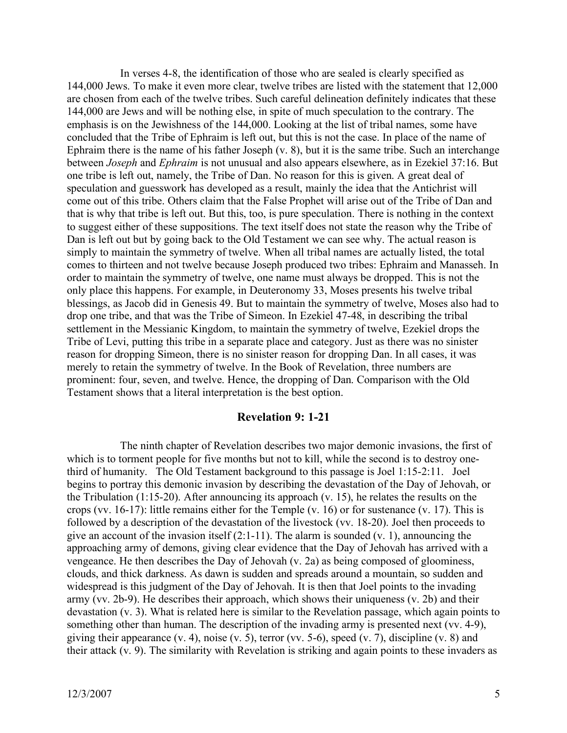In verses 4-8, the identification of those who are sealed is clearly specified as 144,000 Jews. To make it even more clear, twelve tribes are listed with the statement that 12,000 are chosen from each of the twelve tribes. Such careful delineation definitely indicates that these 144,000 are Jews and will be nothing else, in spite of much speculation to the contrary. The emphasis is on the Jewishness of the 144,000. Looking at the list of tribal names, some have concluded that the Tribe of Ephraim is left out, but this is not the case. In place of the name of Ephraim there is the name of his father Joseph (v. 8), but it is the same tribe. Such an interchange between *Joseph* and *Ephraim* is not unusual and also appears elsewhere, as in Ezekiel 37:16. But one tribe is left out, namely, the Tribe of Dan. No reason for this is given. A great deal of speculation and guesswork has developed as a result, mainly the idea that the Antichrist will come out of this tribe. Others claim that the False Prophet will arise out of the Tribe of Dan and that is why that tribe is left out. But this, too, is pure speculation. There is nothing in the context to suggest either of these suppositions. The text itself does not state the reason why the Tribe of Dan is left out but by going back to the Old Testament we can see why. The actual reason is simply to maintain the symmetry of twelve. When all tribal names are actually listed, the total comes to thirteen and not twelve because Joseph produced two tribes: Ephraim and Manasseh. In order to maintain the symmetry of twelve, one name must always be dropped. This is not the only place this happens. For example, in Deuteronomy 33, Moses presents his twelve tribal blessings, as Jacob did in Genesis 49. But to maintain the symmetry of twelve, Moses also had to drop one tribe, and that was the Tribe of Simeon. In Ezekiel 47-48, in describing the tribal settlement in the Messianic Kingdom, to maintain the symmetry of twelve, Ezekiel drops the Tribe of Levi, putting this tribe in a separate place and category. Just as there was no sinister reason for dropping Simeon, there is no sinister reason for dropping Dan. In all cases, it was merely to retain the symmetry of twelve. In the Book of Revelation, three numbers are prominent: four, seven, and twelve. Hence, the dropping of Dan. Comparison with the Old Testament shows that a literal interpretation is the best option.

#### **Revelation 9: 1-21**

The ninth chapter of Revelation describes two major demonic invasions, the first of which is to torment people for five months but not to kill, while the second is to destroy onethird of humanity. The Old Testament background to this passage is Joel 1:15-2:11. Joel begins to portray this demonic invasion by describing the devastation of the Day of Jehovah, or the Tribulation (1:15-20). After announcing its approach (v. 15), he relates the results on the crops (vv. 16-17): little remains either for the Temple (v. 16) or for sustenance (v. 17). This is followed by a description of the devastation of the livestock (vv. 18-20). Joel then proceeds to give an account of the invasion itself  $(2:1-11)$ . The alarm is sounded  $(v, 1)$ , announcing the approaching army of demons, giving clear evidence that the Day of Jehovah has arrived with a vengeance. He then describes the Day of Jehovah (v. 2a) as being composed of gloominess, clouds, and thick darkness. As dawn is sudden and spreads around a mountain, so sudden and widespread is this judgment of the Day of Jehovah. It is then that Joel points to the invading army (vv. 2b-9). He describes their approach, which shows their uniqueness (v. 2b) and their devastation (v. 3). What is related here is similar to the Revelation passage, which again points to something other than human. The description of the invading army is presented next (vv. 4-9), giving their appearance (v. 4), noise (v. 5), terror (vv. 5-6), speed (v. 7), discipline (v. 8) and their attack (v. 9). The similarity with Revelation is striking and again points to these invaders as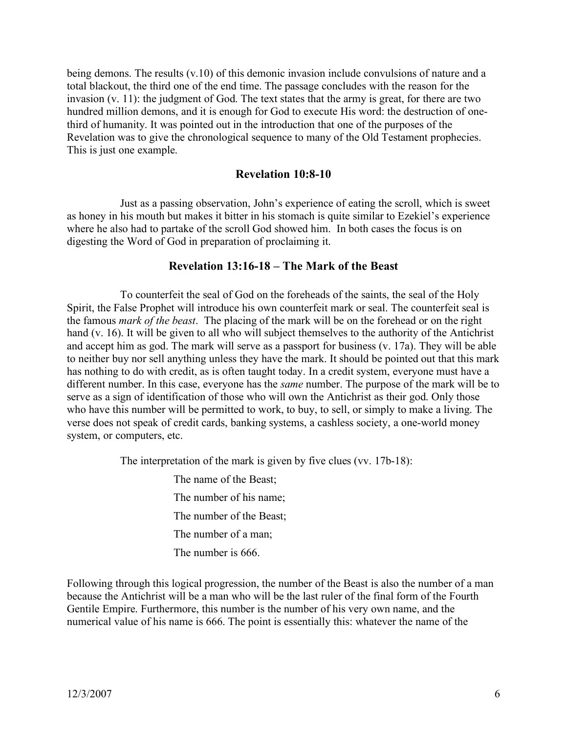being demons. The results (v.10) of this demonic invasion include convulsions of nature and a total blackout, the third one of the end time. The passage concludes with the reason for the invasion (v. 11): the judgment of God. The text states that the army is great, for there are two hundred million demons, and it is enough for God to execute His word: the destruction of onethird of humanity. It was pointed out in the introduction that one of the purposes of the Revelation was to give the chronological sequence to many of the Old Testament prophecies. This is just one example.

#### **Revelation 10:8-10**

Just as a passing observation, John's experience of eating the scroll, which is sweet as honey in his mouth but makes it bitter in his stomach is quite similar to Ezekiel's experience where he also had to partake of the scroll God showed him. In both cases the focus is on digesting the Word of God in preparation of proclaiming it.

#### **Revelation 13:16-18 – The Mark of the Beast**

To counterfeit the seal of God on the foreheads of the saints, the seal of the Holy Spirit, the False Prophet will introduce his own counterfeit mark or seal. The counterfeit seal is the famous *mark of the beast*. The placing of the mark will be on the forehead or on the right hand (v. 16). It will be given to all who will subject themselves to the authority of the Antichrist and accept him as god. The mark will serve as a passport for business (v. 17a). They will be able to neither buy nor sell anything unless they have the mark. It should be pointed out that this mark has nothing to do with credit, as is often taught today. In a credit system, everyone must have a different number. In this case, everyone has the *same* number. The purpose of the mark will be to serve as a sign of identification of those who will own the Antichrist as their god. Only those who have this number will be permitted to work, to buy, to sell, or simply to make a living. The verse does not speak of credit cards, banking systems, a cashless society, a one-world money system, or computers, etc.

The interpretation of the mark is given by five clues (vv. 17b-18):

The name of the Beast; The number of his name; The number of the Beast; The number of a man; The number is 666.

Following through this logical progression, the number of the Beast is also the number of a man because the Antichrist will be a man who will be the last ruler of the final form of the Fourth Gentile Empire. Furthermore, this number is the number of his very own name, and the numerical value of his name is 666. The point is essentially this: whatever the name of the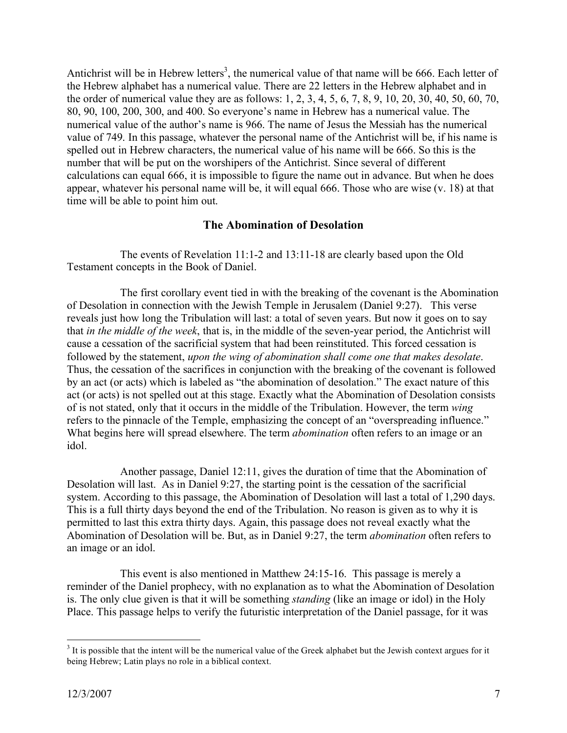Antichrist will be in Hebrew letters<sup>3</sup>, the numerical value of that name will be 666. Each letter of the Hebrew alphabet has a numerical value. There are 22 letters in the Hebrew alphabet and in the order of numerical value they are as follows: 1, 2, 3, 4, 5, 6, 7, 8, 9, 10, 20, 30, 40, 50, 60, 70, 80, 90, 100, 200, 300, and 400. So everyone's name in Hebrew has a numerical value. The numerical value of the author's name is 966. The name of Jesus the Messiah has the numerical value of 749. In this passage, whatever the personal name of the Antichrist will be, if his name is spelled out in Hebrew characters, the numerical value of his name will be 666. So this is the number that will be put on the worshipers of the Antichrist. Since several of different calculations can equal 666, it is impossible to figure the name out in advance. But when he does appear, whatever his personal name will be, it will equal 666. Those who are wise (v. 18) at that time will be able to point him out.

#### **The Abomination of Desolation**

The events of Revelation 11:1-2 and 13:11-18 are clearly based upon the Old Testament concepts in the Book of Daniel.

The first corollary event tied in with the breaking of the covenant is the Abomination of Desolation in connection with the Jewish Temple in Jerusalem (Daniel 9:27). This verse reveals just how long the Tribulation will last: a total of seven years. But now it goes on to say that *in the middle of the week*, that is, in the middle of the seven-year period, the Antichrist will cause a cessation of the sacrificial system that had been reinstituted. This forced cessation is followed by the statement, *upon the wing of abomination shall come one that makes desolate*. Thus, the cessation of the sacrifices in conjunction with the breaking of the covenant is followed by an act (or acts) which is labeled as "the abomination of desolation." The exact nature of this act (or acts) is not spelled out at this stage. Exactly what the Abomination of Desolation consists of is not stated, only that it occurs in the middle of the Tribulation. However, the term *wing*  refers to the pinnacle of the Temple, emphasizing the concept of an "overspreading influence." What begins here will spread elsewhere. The term *abomination* often refers to an image or an idol.

Another passage, Daniel 12:11, gives the duration of time that the Abomination of Desolation will last. As in Daniel 9:27, the starting point is the cessation of the sacrificial system. According to this passage, the Abomination of Desolation will last a total of 1,290 days. This is a full thirty days beyond the end of the Tribulation. No reason is given as to why it is permitted to last this extra thirty days. Again, this passage does not reveal exactly what the Abomination of Desolation will be. But, as in Daniel 9:27, the term *abomination* often refers to an image or an idol.

This event is also mentioned in Matthew 24:15-16. This passage is merely a reminder of the Daniel prophecy, with no explanation as to what the Abomination of Desolation is. The only clue given is that it will be something *standing* (like an image or idol) in the Holy Place. This passage helps to verify the futuristic interpretation of the Daniel passage, for it was

<sup>&</sup>lt;sup>3</sup> It is possible that the intent will be the numerical value of the Greek alphabet but the Jewish context argues for it being Hebrew; Latin plays no role in a biblical context.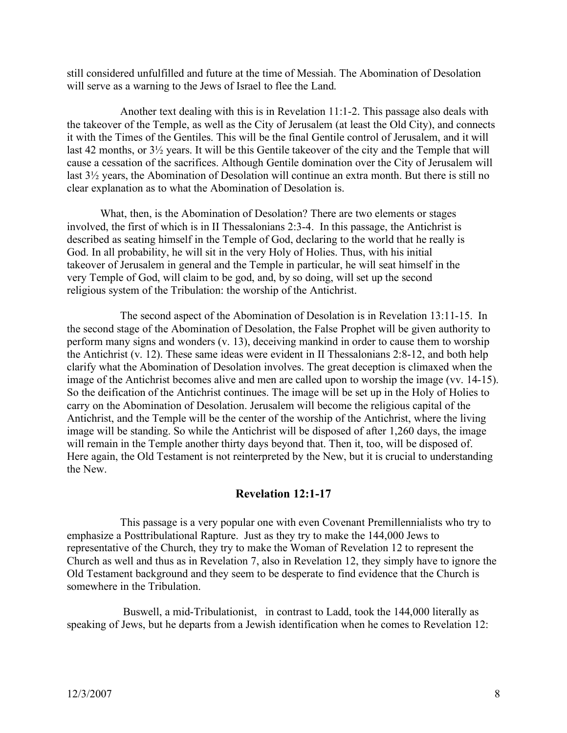still considered unfulfilled and future at the time of Messiah. The Abomination of Desolation will serve as a warning to the Jews of Israel to flee the Land.

Another text dealing with this is in Revelation 11:1-2. This passage also deals with the takeover of the Temple, as well as the City of Jerusalem (at least the Old City), and connects it with the Times of the Gentiles. This will be the final Gentile control of Jerusalem, and it will last 42 months, or 3½ years. It will be this Gentile takeover of the city and the Temple that will cause a cessation of the sacrifices. Although Gentile domination over the City of Jerusalem will last 3½ years, the Abomination of Desolation will continue an extra month. But there is still no clear explanation as to what the Abomination of Desolation is.

What, then, is the Abomination of Desolation? There are two elements or stages involved, the first of which is in II Thessalonians 2:3-4. In this passage, the Antichrist is described as seating himself in the Temple of God, declaring to the world that he really is God. In all probability, he will sit in the very Holy of Holies. Thus, with his initial takeover of Jerusalem in general and the Temple in particular, he will seat himself in the very Temple of God, will claim to be god, and, by so doing, will set up the second religious system of the Tribulation: the worship of the Antichrist.

The second aspect of the Abomination of Desolation is in Revelation 13:11-15. In the second stage of the Abomination of Desolation, the False Prophet will be given authority to perform many signs and wonders (v. 13), deceiving mankind in order to cause them to worship the Antichrist (v. 12). These same ideas were evident in II Thessalonians 2:8-12, and both help clarify what the Abomination of Desolation involves. The great deception is climaxed when the image of the Antichrist becomes alive and men are called upon to worship the image (vv. 14-15). So the deification of the Antichrist continues. The image will be set up in the Holy of Holies to carry on the Abomination of Desolation. Jerusalem will become the religious capital of the Antichrist, and the Temple will be the center of the worship of the Antichrist, where the living image will be standing. So while the Antichrist will be disposed of after 1,260 days, the image will remain in the Temple another thirty days beyond that. Then it, too, will be disposed of. Here again, the Old Testament is not reinterpreted by the New, but it is crucial to understanding the New.

#### **Revelation 12:1-17**

This passage is a very popular one with even Covenant Premillennialists who try to emphasize a Posttribulational Rapture. Just as they try to make the 144,000 Jews to representative of the Church, they try to make the Woman of Revelation 12 to represent the Church as well and thus as in Revelation 7, also in Revelation 12, they simply have to ignore the Old Testament background and they seem to be desperate to find evidence that the Church is somewhere in the Tribulation.

Buswell, a mid-Tribulationist, in contrast to Ladd, took the 144,000 literally as speaking of Jews, but he departs from a Jewish identification when he comes to Revelation 12: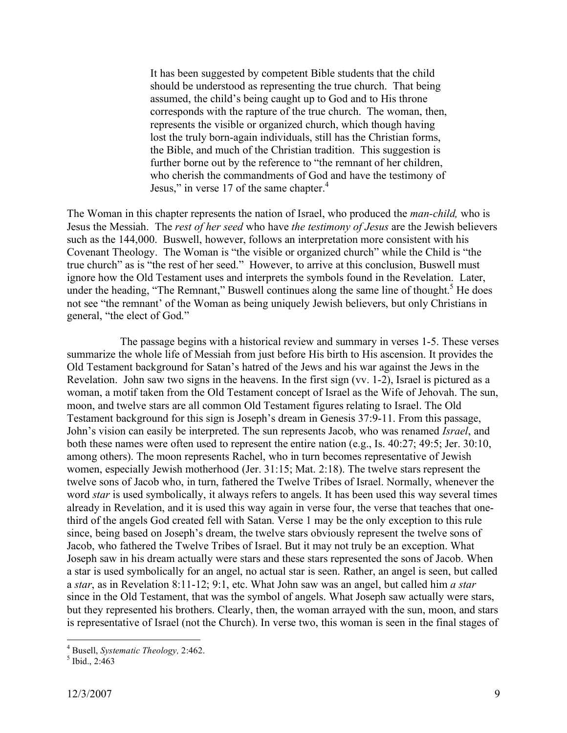It has been suggested by competent Bible students that the child should be understood as representing the true church. That being assumed, the child's being caught up to God and to His throne corresponds with the rapture of the true church. The woman, then, represents the visible or organized church, which though having lost the truly born-again individuals, still has the Christian forms, the Bible, and much of the Christian tradition. This suggestion is further borne out by the reference to "the remnant of her children, who cherish the commandments of God and have the testimony of Jesus," in verse 17 of the same chapter.<sup>4</sup>

The Woman in this chapter represents the nation of Israel, who produced the *man-child,* who is Jesus the Messiah. The *rest of her seed* who have *the testimony of Jesus* are the Jewish believers such as the 144,000. Buswell, however, follows an interpretation more consistent with his Covenant Theology. The Woman is "the visible or organized church" while the Child is "the true church" as is "the rest of her seed." However, to arrive at this conclusion, Buswell must ignore how the Old Testament uses and interprets the symbols found in the Revelation. Later, under the heading, "The Remnant," Buswell continues along the same line of thought.<sup>5</sup> He does not see "the remnant' of the Woman as being uniquely Jewish believers, but only Christians in general, "the elect of God."

The passage begins with a historical review and summary in verses 1-5. These verses summarize the whole life of Messiah from just before His birth to His ascension. It provides the Old Testament background for Satan's hatred of the Jews and his war against the Jews in the Revelation. John saw two signs in the heavens. In the first sign (vv. 1-2), Israel is pictured as a woman, a motif taken from the Old Testament concept of Israel as the Wife of Jehovah. The sun, moon, and twelve stars are all common Old Testament figures relating to Israel. The Old Testament background for this sign is Joseph's dream in Genesis 37:9-11. From this passage, John's vision can easily be interpreted. The sun represents Jacob, who was renamed *Israel*, and both these names were often used to represent the entire nation (e.g., Is. 40:27; 49:5; Jer. 30:10, among others). The moon represents Rachel, who in turn becomes representative of Jewish women, especially Jewish motherhood (Jer. 31:15; Mat. 2:18). The twelve stars represent the twelve sons of Jacob who, in turn, fathered the Twelve Tribes of Israel. Normally, whenever the word *star* is used symbolically, it always refers to angels. It has been used this way several times already in Revelation, and it is used this way again in verse four, the verse that teaches that onethird of the angels God created fell with Satan. Verse 1 may be the only exception to this rule since, being based on Joseph's dream, the twelve stars obviously represent the twelve sons of Jacob, who fathered the Twelve Tribes of Israel. But it may not truly be an exception. What Joseph saw in his dream actually were stars and these stars represented the sons of Jacob. When a star is used symbolically for an angel, no actual star is seen. Rather, an angel is seen, but called a *star*, as in Revelation 8:11-12; 9:1, etc. What John saw was an angel, but called him *a star* since in the Old Testament, that was the symbol of angels. What Joseph saw actually were stars, but they represented his brothers. Clearly, then, the woman arrayed with the sun, moon, and stars is representative of Israel (not the Church). In verse two, this woman is seen in the final stages of

<sup>4</sup> Busell, *Systematic Theology,* 2:462. <sup>5</sup> Ibid., 2:463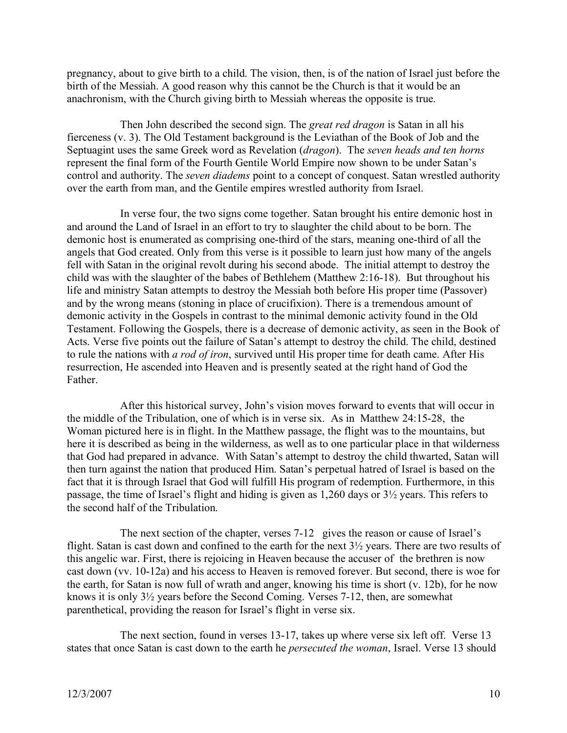pregnancy, about to give birth to a child. The vision, then, is of the nation of Israel just before the birth of the Messiah. A good reason why this cannot be the Church is that it would be an anachronism, with the Church giving birth to Messiah whereas the opposite is true.

Then John described the second sign. The *great red dragon* is Satan in all his fierceness (v. 3). The Old Testament background is the Leviathan of the Book of Job and the Septuagint uses the same Greek word as Revelation (*dragon*). The *seven heads and ten horns* represent the final form of the Fourth Gentile World Empire now shown to be under Satan's control and authority. The *seven diadems* point to a concept of conquest. Satan wrestled authority over the earth from man, and the Gentile empires wrestled authority from Israel.

In verse four, the two signs come together. Satan brought his entire demonic host in and around the Land of Israel in an effort to try to slaughter the child about to be born. The demonic host is enumerated as comprising one-third of the stars, meaning one-third of all the angels that God created. Only from this verse is it possible to learn just how many of the angels fell with Satan in the original revolt during his second abode. The initial attempt to destroy the child was with the slaughter of the babes of Bethlehem (Matthew 2:16-18). But throughout his life and ministry Satan attempts to destroy the Messiah both before His proper time (Passover) and by the wrong means (stoning in place of crucifixion). There is a tremendous amount of demonic activity in the Gospels in contrast to the minimal demonic activity found in the Old Testament. Following the Gospels, there is a decrease of demonic activity, as seen in the Book of Acts. Verse five points out the failure of Satan's attempt to destroy the child. The child, destined to rule the nations with *a rod of iron*, survived until His proper time for death came. After His resurrection, He ascended into Heaven and is presently seated at the right hand of God the Father.

After this historical survey, John's vision moves forward to events that will occur in the middle of the Tribulation, one of which is in verse six. As in Matthew 24:15-28, the Woman pictured here is in flight. In the Matthew passage, the flight was to the mountains, but here it is described as being in the wilderness, as well as to one particular place in that wilderness that God had prepared in advance. With Satan's attempt to destroy the child thwarted, Satan will then turn against the nation that produced Him. Satan's perpetual hatred of Israel is based on the fact that it is through Israel that God will fulfill His program of redemption. Furthermore, in this passage, the time of Israel's flight and hiding is given as 1,260 days or 3½ years. This refers to the second half of the Tribulation.

The next section of the chapter, verses 7-12 gives the reason or cause of Israel's flight. Satan is cast down and confined to the earth for the next 3½ years. There are two results of this angelic war. First, there is rejoicing in Heaven because the accuser of the brethren is now cast down (vv. 10-12a) and his access to Heaven is removed forever. But second, there is woe for the earth, for Satan is now full of wrath and anger, knowing his time is short (v. 12b), for he now knows it is only 3½ years before the Second Coming. Verses 7-12, then, are somewhat parenthetical, providing the reason for Israel's flight in verse six.

The next section, found in verses 13-17, takes up where verse six left off. Verse 13 states that once Satan is cast down to the earth he *persecuted the woman*, Israel. Verse 13 should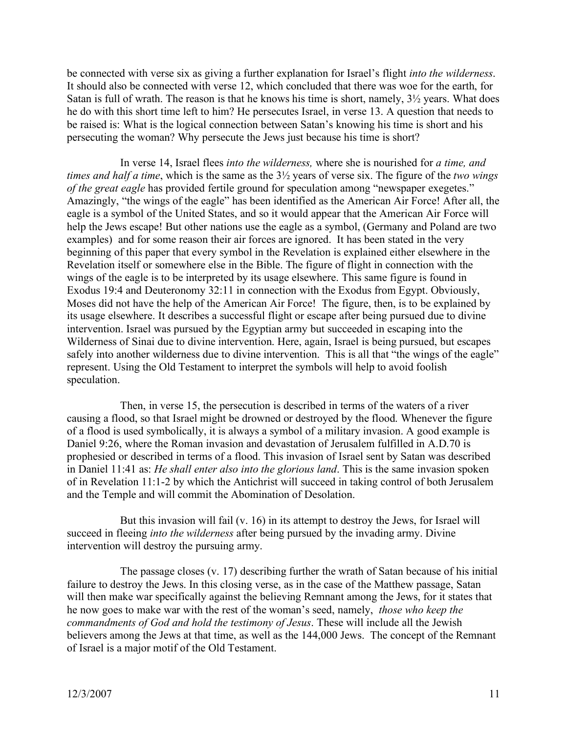be connected with verse six as giving a further explanation for Israel's flight *into the wilderness*. It should also be connected with verse 12, which concluded that there was woe for the earth, for Satan is full of wrath. The reason is that he knows his time is short, namely, 3½ years. What does he do with this short time left to him? He persecutes Israel, in verse 13. A question that needs to be raised is: What is the logical connection between Satan's knowing his time is short and his persecuting the woman? Why persecute the Jews just because his time is short?

In verse 14, Israel flees *into the wilderness,* where she is nourished for *a time, and times and half a time*, which is the same as the 3½ years of verse six. The figure of the *two wings of the great eagle* has provided fertile ground for speculation among "newspaper exegetes." Amazingly, "the wings of the eagle" has been identified as the American Air Force! After all, the eagle is a symbol of the United States, and so it would appear that the American Air Force will help the Jews escape! But other nations use the eagle as a symbol, (Germany and Poland are two examples) and for some reason their air forces are ignored. It has been stated in the very beginning of this paper that every symbol in the Revelation is explained either elsewhere in the Revelation itself or somewhere else in the Bible. The figure of flight in connection with the wings of the eagle is to be interpreted by its usage elsewhere. This same figure is found in Exodus 19:4 and Deuteronomy 32:11 in connection with the Exodus from Egypt. Obviously, Moses did not have the help of the American Air Force! The figure, then, is to be explained by its usage elsewhere. It describes a successful flight or escape after being pursued due to divine intervention. Israel was pursued by the Egyptian army but succeeded in escaping into the Wilderness of Sinai due to divine intervention. Here, again, Israel is being pursued, but escapes safely into another wilderness due to divine intervention. This is all that "the wings of the eagle" represent. Using the Old Testament to interpret the symbols will help to avoid foolish speculation.

Then, in verse 15, the persecution is described in terms of the waters of a river causing a flood, so that Israel might be drowned or destroyed by the flood. Whenever the figure of a flood is used symbolically, it is always a symbol of a military invasion. A good example is Daniel 9:26, where the Roman invasion and devastation of Jerusalem fulfilled in A.D.70 is prophesied or described in terms of a flood. This invasion of Israel sent by Satan was described in Daniel 11:41 as: *He shall enter also into the glorious land*. This is the same invasion spoken of in Revelation 11:1-2 by which the Antichrist will succeed in taking control of both Jerusalem and the Temple and will commit the Abomination of Desolation.

But this invasion will fail (v. 16) in its attempt to destroy the Jews, for Israel will succeed in fleeing *into the wilderness* after being pursued by the invading army. Divine intervention will destroy the pursuing army.

The passage closes (v. 17) describing further the wrath of Satan because of his initial failure to destroy the Jews. In this closing verse, as in the case of the Matthew passage, Satan will then make war specifically against the believing Remnant among the Jews, for it states that he now goes to make war with the rest of the woman's seed, namely, *those who keep the commandments of God and hold the testimony of Jesus*. These will include all the Jewish believers among the Jews at that time, as well as the 144,000 Jews. The concept of the Remnant of Israel is a major motif of the Old Testament.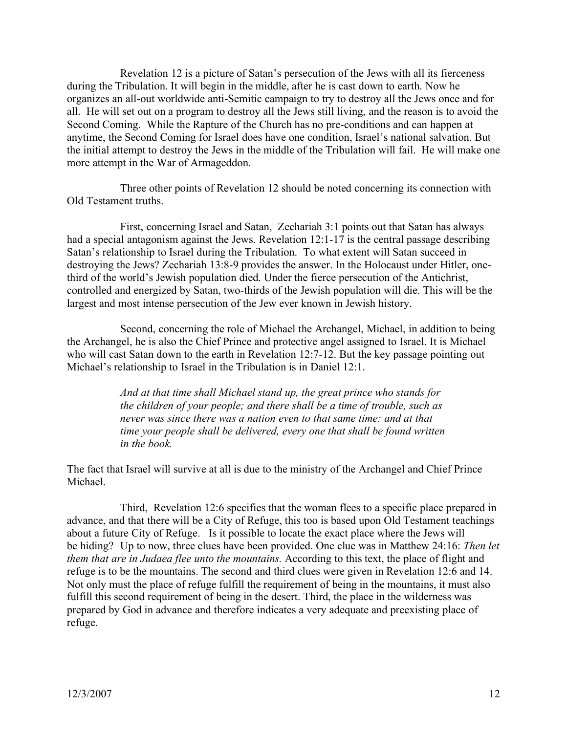Revelation 12 is a picture of Satan's persecution of the Jews with all its fierceness during the Tribulation. It will begin in the middle, after he is cast down to earth. Now he organizes an all-out worldwide anti-Semitic campaign to try to destroy all the Jews once and for all. He will set out on a program to destroy all the Jews still living, and the reason is to avoid the Second Coming. While the Rapture of the Church has no pre-conditions and can happen at anytime, the Second Coming for Israel does have one condition, Israel's national salvation. But the initial attempt to destroy the Jews in the middle of the Tribulation will fail. He will make one more attempt in the War of Armageddon.

Three other points of Revelation 12 should be noted concerning its connection with Old Testament truths.

First, concerning Israel and Satan, Zechariah 3:1 points out that Satan has always had a special antagonism against the Jews. Revelation 12:1-17 is the central passage describing Satan's relationship to Israel during the Tribulation. To what extent will Satan succeed in destroying the Jews? Zechariah 13:8-9 provides the answer. In the Holocaust under Hitler, onethird of the world's Jewish population died. Under the fierce persecution of the Antichrist, controlled and energized by Satan, two-thirds of the Jewish population will die. This will be the largest and most intense persecution of the Jew ever known in Jewish history.

Second, concerning the role of Michael the Archangel, Michael, in addition to being the Archangel, he is also the Chief Prince and protective angel assigned to Israel. It is Michael who will cast Satan down to the earth in Revelation 12:7-12. But the key passage pointing out Michael's relationship to Israel in the Tribulation is in Daniel 12:1.

> *And at that time shall Michael stand up, the great prince who stands for the children of your people; and there shall be a time of trouble, such as never was since there was a nation even to that same time: and at that time your people shall be delivered, every one that shall be found written in the book.*

The fact that Israel will survive at all is due to the ministry of the Archangel and Chief Prince Michael.

Third, Revelation 12:6 specifies that the woman flees to a specific place prepared in advance, and that there will be a City of Refuge, this too is based upon Old Testament teachings about a future City of Refuge. Is it possible to locate the exact place where the Jews will be hiding? Up to now, three clues have been provided. One clue was in Matthew 24:16: *Then let them that are in Judaea flee unto the mountains.* According to this text, the place of flight and refuge is to be the mountains. The second and third clues were given in Revelation 12:6 and 14. Not only must the place of refuge fulfill the requirement of being in the mountains, it must also fulfill this second requirement of being in the desert. Third, the place in the wilderness was prepared by God in advance and therefore indicates a very adequate and preexisting place of refuge.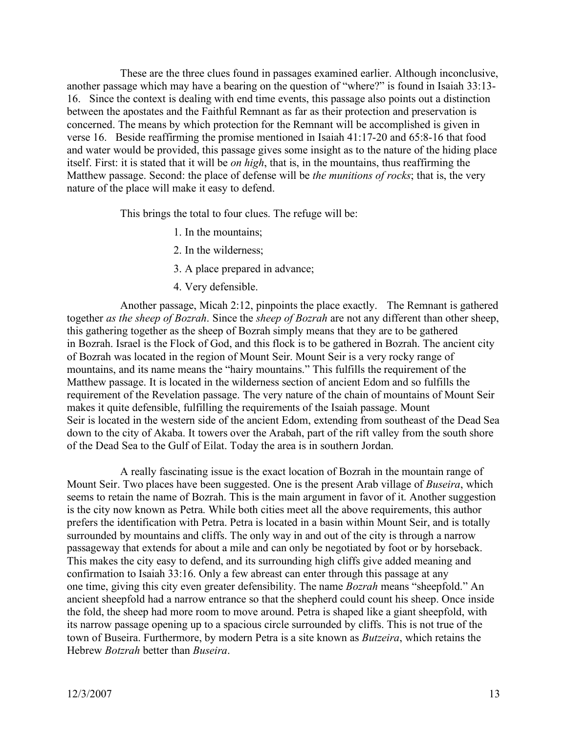These are the three clues found in passages examined earlier. Although inconclusive, another passage which may have a bearing on the question of "where?" is found in Isaiah 33:13- 16. Since the context is dealing with end time events, this passage also points out a distinction between the apostates and the Faithful Remnant as far as their protection and preservation is concerned. The means by which protection for the Remnant will be accomplished is given in verse 16. Beside reaffirming the promise mentioned in Isaiah 41:17-20 and 65:8-16 that food and water would be provided, this passage gives some insight as to the nature of the hiding place itself. First: it is stated that it will be *on high*, that is, in the mountains, thus reaffirming the Matthew passage. Second: the place of defense will be *the munitions of rocks*; that is, the very nature of the place will make it easy to defend.

This brings the total to four clues. The refuge will be:

- 1. In the mountains;
- 2. In the wilderness;
- 3. A place prepared in advance;
- 4. Very defensible.

Another passage, Micah 2:12, pinpoints the place exactly. The Remnant is gathered together *as the sheep of Bozrah*. Since the *sheep of Bozrah* are not any different than other sheep, this gathering together as the sheep of Bozrah simply means that they are to be gathered in Bozrah. Israel is the Flock of God, and this flock is to be gathered in Bozrah. The ancient city of Bozrah was located in the region of Mount Seir. Mount Seir is a very rocky range of mountains, and its name means the "hairy mountains." This fulfills the requirement of the Matthew passage. It is located in the wilderness section of ancient Edom and so fulfills the requirement of the Revelation passage. The very nature of the chain of mountains of Mount Seir makes it quite defensible, fulfilling the requirements of the Isaiah passage. Mount Seir is located in the western side of the ancient Edom, extending from southeast of the Dead Sea down to the city of Akaba. It towers over the Arabah, part of the rift valley from the south shore of the Dead Sea to the Gulf of Eilat. Today the area is in southern Jordan.

A really fascinating issue is the exact location of Bozrah in the mountain range of Mount Seir. Two places have been suggested. One is the present Arab village of *Buseira*, which seems to retain the name of Bozrah. This is the main argument in favor of it. Another suggestion is the city now known as Petra. While both cities meet all the above requirements, this author prefers the identification with Petra. Petra is located in a basin within Mount Seir, and is totally surrounded by mountains and cliffs. The only way in and out of the city is through a narrow passageway that extends for about a mile and can only be negotiated by foot or by horseback. This makes the city easy to defend, and its surrounding high cliffs give added meaning and confirmation to Isaiah 33:16. Only a few abreast can enter through this passage at any one time, giving this city even greater defensibility. The name *Bozrah* means "sheepfold." An ancient sheepfold had a narrow entrance so that the shepherd could count his sheep. Once inside the fold, the sheep had more room to move around. Petra is shaped like a giant sheepfold, with its narrow passage opening up to a spacious circle surrounded by cliffs. This is not true of the town of Buseira. Furthermore, by modern Petra is a site known as *Butzeira*, which retains the Hebrew *Botzrah* better than *Buseira*.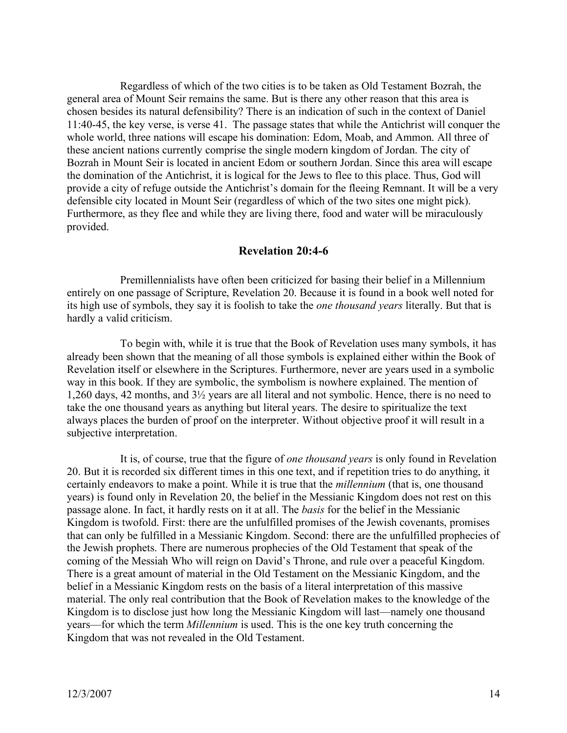Regardless of which of the two cities is to be taken as Old Testament Bozrah, the general area of Mount Seir remains the same. But is there any other reason that this area is chosen besides its natural defensibility? There is an indication of such in the context of Daniel 11:40-45, the key verse, is verse 41. The passage states that while the Antichrist will conquer the whole world, three nations will escape his domination: Edom, Moab, and Ammon. All three of these ancient nations currently comprise the single modern kingdom of Jordan. The city of Bozrah in Mount Seir is located in ancient Edom or southern Jordan. Since this area will escape the domination of the Antichrist, it is logical for the Jews to flee to this place. Thus, God will provide a city of refuge outside the Antichrist's domain for the fleeing Remnant. It will be a very defensible city located in Mount Seir (regardless of which of the two sites one might pick). Furthermore, as they flee and while they are living there, food and water will be miraculously provided.

#### **Revelation 20:4-6**

Premillennialists have often been criticized for basing their belief in a Millennium entirely on one passage of Scripture, Revelation 20. Because it is found in a book well noted for its high use of symbols, they say it is foolish to take the *one thousand years* literally. But that is hardly a valid criticism.

To begin with, while it is true that the Book of Revelation uses many symbols, it has already been shown that the meaning of all those symbols is explained either within the Book of Revelation itself or elsewhere in the Scriptures. Furthermore, never are years used in a symbolic way in this book. If they are symbolic, the symbolism is nowhere explained. The mention of 1,260 days, 42 months, and 3½ years are all literal and not symbolic. Hence, there is no need to take the one thousand years as anything but literal years. The desire to spiritualize the text always places the burden of proof on the interpreter. Without objective proof it will result in a subjective interpretation.

It is, of course, true that the figure of *one thousand years* is only found in Revelation 20. But it is recorded six different times in this one text, and if repetition tries to do anything, it certainly endeavors to make a point. While it is true that the *millennium* (that is, one thousand years) is found only in Revelation 20, the belief in the Messianic Kingdom does not rest on this passage alone. In fact, it hardly rests on it at all. The *basis* for the belief in the Messianic Kingdom is twofold. First: there are the unfulfilled promises of the Jewish covenants, promises that can only be fulfilled in a Messianic Kingdom. Second: there are the unfulfilled prophecies of the Jewish prophets. There are numerous prophecies of the Old Testament that speak of the coming of the Messiah Who will reign on David's Throne, and rule over a peaceful Kingdom. There is a great amount of material in the Old Testament on the Messianic Kingdom, and the belief in a Messianic Kingdom rests on the basis of a literal interpretation of this massive material. The only real contribution that the Book of Revelation makes to the knowledge of the Kingdom is to disclose just how long the Messianic Kingdom will last—namely one thousand years—for which the term *Millennium* is used. This is the one key truth concerning the Kingdom that was not revealed in the Old Testament.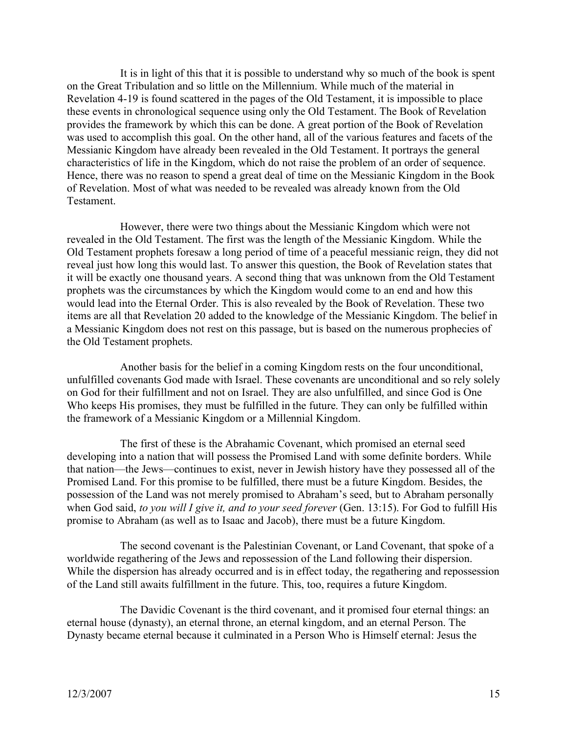It is in light of this that it is possible to understand why so much of the book is spent on the Great Tribulation and so little on the Millennium. While much of the material in Revelation 4-19 is found scattered in the pages of the Old Testament, it is impossible to place these events in chronological sequence using only the Old Testament. The Book of Revelation provides the framework by which this can be done. A great portion of the Book of Revelation was used to accomplish this goal. On the other hand, all of the various features and facets of the Messianic Kingdom have already been revealed in the Old Testament. It portrays the general characteristics of life in the Kingdom, which do not raise the problem of an order of sequence. Hence, there was no reason to spend a great deal of time on the Messianic Kingdom in the Book of Revelation. Most of what was needed to be revealed was already known from the Old **Testament** 

However, there were two things about the Messianic Kingdom which were not revealed in the Old Testament. The first was the length of the Messianic Kingdom. While the Old Testament prophets foresaw a long period of time of a peaceful messianic reign, they did not reveal just how long this would last. To answer this question, the Book of Revelation states that it will be exactly one thousand years. A second thing that was unknown from the Old Testament prophets was the circumstances by which the Kingdom would come to an end and how this would lead into the Eternal Order. This is also revealed by the Book of Revelation. These two items are all that Revelation 20 added to the knowledge of the Messianic Kingdom. The belief in a Messianic Kingdom does not rest on this passage, but is based on the numerous prophecies of the Old Testament prophets.

Another basis for the belief in a coming Kingdom rests on the four unconditional, unfulfilled covenants God made with Israel. These covenants are unconditional and so rely solely on God for their fulfillment and not on Israel. They are also unfulfilled, and since God is One Who keeps His promises, they must be fulfilled in the future. They can only be fulfilled within the framework of a Messianic Kingdom or a Millennial Kingdom.

The first of these is the Abrahamic Covenant, which promised an eternal seed developing into a nation that will possess the Promised Land with some definite borders. While that nation—the Jews—continues to exist, never in Jewish history have they possessed all of the Promised Land. For this promise to be fulfilled, there must be a future Kingdom. Besides, the possession of the Land was not merely promised to Abraham's seed, but to Abraham personally when God said, *to you will I give it, and to your seed forever* (Gen. 13:15). For God to fulfill His promise to Abraham (as well as to Isaac and Jacob), there must be a future Kingdom.

The second covenant is the Palestinian Covenant, or Land Covenant, that spoke of a worldwide regathering of the Jews and repossession of the Land following their dispersion. While the dispersion has already occurred and is in effect today, the regathering and repossession of the Land still awaits fulfillment in the future. This, too, requires a future Kingdom.

The Davidic Covenant is the third covenant, and it promised four eternal things: an eternal house (dynasty), an eternal throne, an eternal kingdom, and an eternal Person. The Dynasty became eternal because it culminated in a Person Who is Himself eternal: Jesus the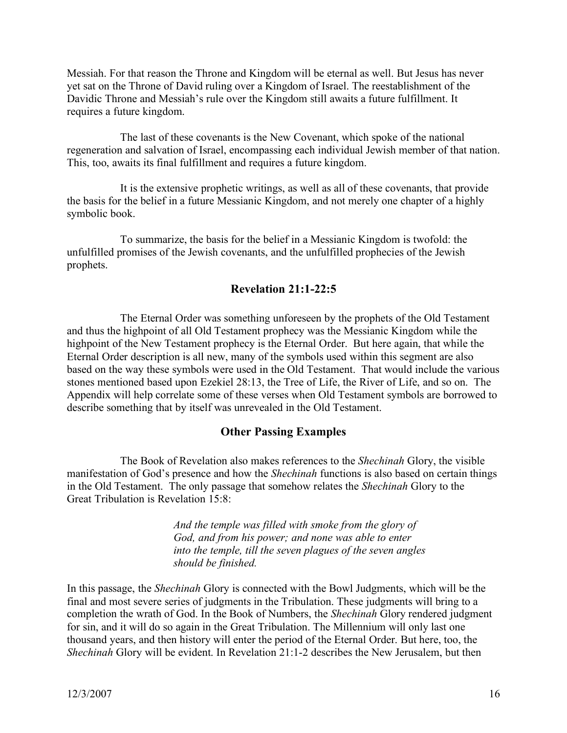Messiah. For that reason the Throne and Kingdom will be eternal as well. But Jesus has never yet sat on the Throne of David ruling over a Kingdom of Israel. The reestablishment of the Davidic Throne and Messiah's rule over the Kingdom still awaits a future fulfillment. It requires a future kingdom.

The last of these covenants is the New Covenant, which spoke of the national regeneration and salvation of Israel, encompassing each individual Jewish member of that nation. This, too, awaits its final fulfillment and requires a future kingdom.

It is the extensive prophetic writings, as well as all of these covenants, that provide the basis for the belief in a future Messianic Kingdom, and not merely one chapter of a highly symbolic book.

To summarize, the basis for the belief in a Messianic Kingdom is twofold: the unfulfilled promises of the Jewish covenants, and the unfulfilled prophecies of the Jewish prophets.

# **Revelation 21:1-22:5**

The Eternal Order was something unforeseen by the prophets of the Old Testament and thus the highpoint of all Old Testament prophecy was the Messianic Kingdom while the highpoint of the New Testament prophecy is the Eternal Order. But here again, that while the Eternal Order description is all new, many of the symbols used within this segment are also based on the way these symbols were used in the Old Testament. That would include the various stones mentioned based upon Ezekiel 28:13, the Tree of Life, the River of Life, and so on. The Appendix will help correlate some of these verses when Old Testament symbols are borrowed to describe something that by itself was unrevealed in the Old Testament.

## **Other Passing Examples**

The Book of Revelation also makes references to the *Shechinah* Glory, the visible manifestation of God's presence and how the *Shechinah* functions is also based on certain things in the Old Testament. The only passage that somehow relates the *Shechinah* Glory to the Great Tribulation is Revelation 15:8:

> *And the temple was filled with smoke from the glory of God, and from his power; and none was able to enter into the temple, till the seven plagues of the seven angles should be finished.*

In this passage, the *Shechinah* Glory is connected with the Bowl Judgments, which will be the final and most severe series of judgments in the Tribulation. These judgments will bring to a completion the wrath of God. In the Book of Numbers, the *Shechinah* Glory rendered judgment for sin, and it will do so again in the Great Tribulation. The Millennium will only last one thousand years, and then history will enter the period of the Eternal Order. But here, too, the *Shechinah* Glory will be evident. In Revelation 21:1-2 describes the New Jerusalem, but then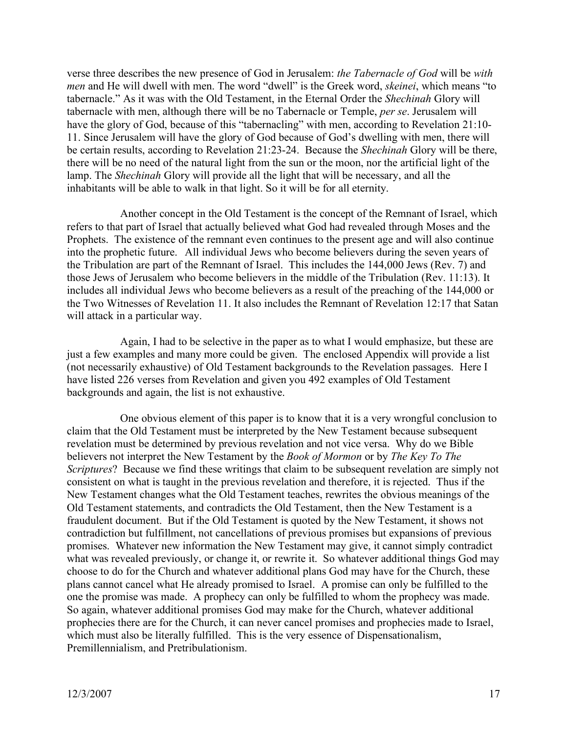verse three describes the new presence of God in Jerusalem: *the Tabernacle of God* will be *with men* and He will dwell with men. The word "dwell" is the Greek word, *skeinei*, which means "to tabernacle." As it was with the Old Testament, in the Eternal Order the *Shechinah* Glory will tabernacle with men, although there will be no Tabernacle or Temple, *per se*. Jerusalem will have the glory of God, because of this "tabernacling" with men, according to Revelation 21:10-11. Since Jerusalem will have the glory of God because of God's dwelling with men, there will be certain results, according to Revelation 21:23-24. Because the *Shechinah* Glory will be there, there will be no need of the natural light from the sun or the moon, nor the artificial light of the lamp. The *Shechinah* Glory will provide all the light that will be necessary, and all the inhabitants will be able to walk in that light. So it will be for all eternity.

Another concept in the Old Testament is the concept of the Remnant of Israel, which refers to that part of Israel that actually believed what God had revealed through Moses and the Prophets. The existence of the remnant even continues to the present age and will also continue into the prophetic future. All individual Jews who become believers during the seven years of the Tribulation are part of the Remnant of Israel. This includes the 144,000 Jews (Rev. 7) and those Jews of Jerusalem who become believers in the middle of the Tribulation (Rev. 11:13). It includes all individual Jews who become believers as a result of the preaching of the 144,000 or the Two Witnesses of Revelation 11. It also includes the Remnant of Revelation 12:17 that Satan will attack in a particular way.

Again, I had to be selective in the paper as to what I would emphasize, but these are just a few examples and many more could be given. The enclosed Appendix will provide a list (not necessarily exhaustive) of Old Testament backgrounds to the Revelation passages. Here I have listed 226 verses from Revelation and given you 492 examples of Old Testament backgrounds and again, the list is not exhaustive.

One obvious element of this paper is to know that it is a very wrongful conclusion to claim that the Old Testament must be interpreted by the New Testament because subsequent revelation must be determined by previous revelation and not vice versa. Why do we Bible believers not interpret the New Testament by the *Book of Mormon* or by *The Key To The Scriptures*? Because we find these writings that claim to be subsequent revelation are simply not consistent on what is taught in the previous revelation and therefore, it is rejected. Thus if the New Testament changes what the Old Testament teaches, rewrites the obvious meanings of the Old Testament statements, and contradicts the Old Testament, then the New Testament is a fraudulent document. But if the Old Testament is quoted by the New Testament, it shows not contradiction but fulfillment, not cancellations of previous promises but expansions of previous promises. Whatever new information the New Testament may give, it cannot simply contradict what was revealed previously, or change it, or rewrite it. So whatever additional things God may choose to do for the Church and whatever additional plans God may have for the Church, these plans cannot cancel what He already promised to Israel. A promise can only be fulfilled to the one the promise was made. A prophecy can only be fulfilled to whom the prophecy was made. So again, whatever additional promises God may make for the Church, whatever additional prophecies there are for the Church, it can never cancel promises and prophecies made to Israel, which must also be literally fulfilled. This is the very essence of Dispensationalism, Premillennialism, and Pretribulationism.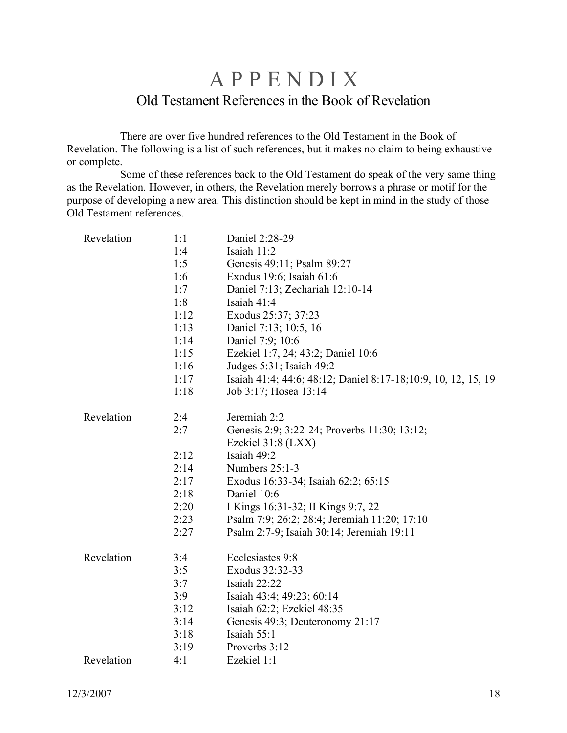# **APPENDIX** Old Testament References in the Book of Revelation

There are over five hundred references to the Old Testament in the Book of Revelation. The following is a list of such references, but it makes no claim to being exhaustive or complete.

Some of these references back to the Old Testament do speak of the very same thing as the Revelation. However, in others, the Revelation merely borrows a phrase or motif for the purpose of developing a new area. This distinction should be kept in mind in the study of those Old Testament references.

| Revelation | 1:1  | Daniel 2:28-29                                                 |
|------------|------|----------------------------------------------------------------|
|            | 1:4  | Isaiah 11:2                                                    |
|            | 1:5  | Genesis 49:11; Psalm 89:27                                     |
|            | 1:6  | Exodus 19:6; Isaiah 61:6                                       |
|            | 1:7  | Daniel 7:13; Zechariah 12:10-14                                |
|            | 1:8  | Isaiah 41:4                                                    |
|            | 1:12 | Exodus 25:37; 37:23                                            |
|            | 1:13 | Daniel 7:13; 10:5, 16                                          |
|            | 1:14 | Daniel 7:9; 10:6                                               |
|            | 1:15 | Ezekiel 1:7, 24; 43:2; Daniel 10:6                             |
|            | 1:16 | Judges 5:31; Isaiah 49:2                                       |
|            | 1:17 | Isaiah 41:4; 44:6; 48:12; Daniel 8:17-18; 10:9, 10, 12, 15, 19 |
|            | 1:18 | Job 3:17; Hosea 13:14                                          |
| Revelation | 2:4  | Jeremiah 2:2                                                   |
|            | 2:7  | Genesis 2:9; 3:22-24; Proverbs 11:30; 13:12;                   |
|            |      | Ezekiel 31:8 (LXX)                                             |
|            | 2:12 | Isaiah 49:2                                                    |
|            | 2:14 | Numbers 25:1-3                                                 |
|            | 2:17 | Exodus 16:33-34; Isaiah 62:2; 65:15                            |
|            | 2:18 | Daniel 10:6                                                    |
|            | 2:20 | I Kings 16:31-32; II Kings 9:7, 22                             |
|            | 2:23 | Psalm 7:9; 26:2; 28:4; Jeremiah 11:20; 17:10                   |
|            | 2:27 | Psalm 2:7-9; Isaiah 30:14; Jeremiah 19:11                      |
| Revelation | 3:4  | Ecclesiastes 9:8                                               |
|            | 3:5  | Exodus 32:32-33                                                |
|            | 3:7  | Isaiah 22:22                                                   |
|            | 3:9  | Isaiah 43:4; 49:23; 60:14                                      |
|            | 3:12 | Isaiah 62:2; Ezekiel 48:35                                     |
|            | 3:14 | Genesis 49:3; Deuteronomy 21:17                                |
|            | 3:18 | Isaiah 55:1                                                    |
|            | 3:19 | Proverbs 3:12                                                  |
| Revelation | 4:1  | Ezekiel 1:1                                                    |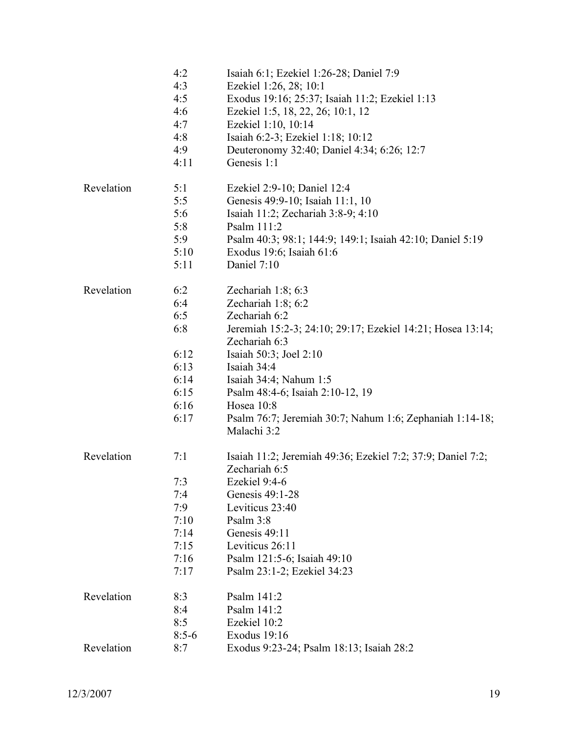|            | 4:2     | Isaiah 6:1; Ezekiel 1:26-28; Daniel 7:9                     |
|------------|---------|-------------------------------------------------------------|
|            | 4:3     | Ezekiel 1:26, 28; 10:1                                      |
|            | 4:5     | Exodus 19:16; 25:37; Isaiah 11:2; Ezekiel 1:13              |
|            | 4:6     | Ezekiel 1:5, 18, 22, 26; 10:1, 12                           |
|            | 4:7     | Ezekiel 1:10, 10:14                                         |
|            | 4:8     | Isaiah 6:2-3; Ezekiel 1:18; 10:12                           |
|            | 4:9     | Deuteronomy 32:40; Daniel 4:34; 6:26; 12:7                  |
|            | 4:11    | Genesis 1:1                                                 |
| Revelation | 5:1     | Ezekiel 2:9-10; Daniel 12:4                                 |
|            | 5:5     | Genesis 49:9-10; Isaiah 11:1, 10                            |
|            | 5:6     | Isaiah 11:2; Zechariah 3:8-9; 4:10                          |
|            | 5:8     | Psalm 111:2                                                 |
|            | 5:9     | Psalm 40:3; 98:1; 144:9; 149:1; Isaiah 42:10; Daniel 5:19   |
|            | 5:10    | Exodus 19:6; Isaiah 61:6                                    |
|            | 5:11    | Daniel 7:10                                                 |
| Revelation | 6:2     | Zechariah $1:8$ ; 6:3                                       |
|            | 6:4     | Zechariah 1:8; 6:2                                          |
|            | 6:5     | Zechariah 6:2                                               |
|            | 6:8     | Jeremiah 15:2-3; 24:10; 29:17; Ezekiel 14:21; Hosea 13:14;  |
|            |         | Zechariah 6:3                                               |
|            | 6:12    | Isaiah 50:3; Joel 2:10                                      |
|            | 6:13    | Isaiah 34:4                                                 |
|            | 6:14    | Isaiah 34:4; Nahum 1:5                                      |
|            | 6:15    | Psalm 48:4-6; Isaiah 2:10-12, 19                            |
|            | 6:16    | Hosea 10:8                                                  |
|            | 6:17    | Psalm 76:7; Jeremiah 30:7; Nahum 1:6; Zephaniah 1:14-18;    |
|            |         | Malachi 3:2                                                 |
| Revelation | 7:1     | Isaiah 11:2; Jeremiah 49:36; Ezekiel 7:2; 37:9; Daniel 7:2; |
|            |         | Zechariah 6:5                                               |
|            | 7:3     | Ezekiel 9:4-6                                               |
|            | 7:4     | Genesis 49:1-28                                             |
|            | 7:9     | Leviticus 23:40                                             |
|            | 7:10    | Psalm 3:8                                                   |
|            | 7:14    | Genesis 49:11                                               |
|            | 7:15    | Leviticus 26:11                                             |
|            | 7:16    | Psalm 121:5-6; Isaiah 49:10                                 |
|            | 7:17    | Psalm 23:1-2; Ezekiel 34:23                                 |
| Revelation | 8:3     | Psalm 141:2                                                 |
|            | 8:4     | Psalm 141:2                                                 |
|            | 8:5     | Ezekiel 10:2                                                |
|            | $8:5-6$ | Exodus 19:16                                                |
| Revelation | 8:7     | Exodus 9:23-24; Psalm 18:13; Isaiah 28:2                    |
|            |         |                                                             |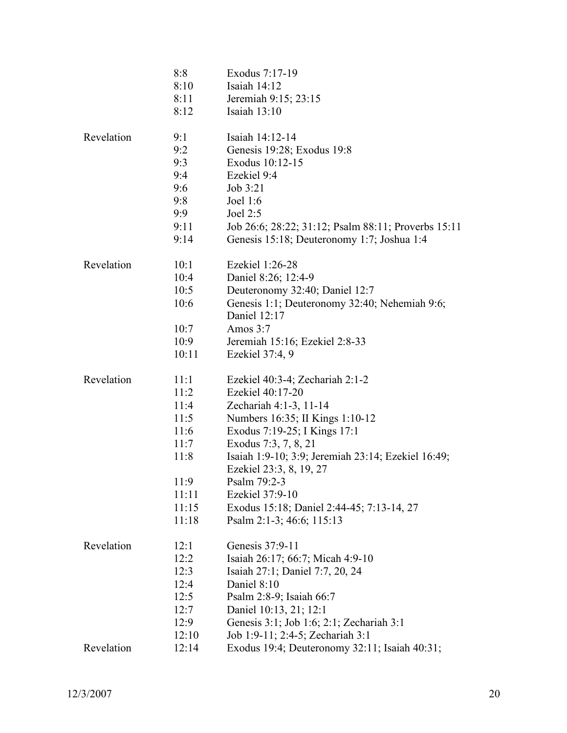|            | 8:8   | Exodus 7:17-19                                      |
|------------|-------|-----------------------------------------------------|
|            | 8:10  | Isaiah 14:12                                        |
|            | 8:11  | Jeremiah 9:15; 23:15                                |
|            | 8:12  | Isaiah $13:10$                                      |
| Revelation | 9:1   | Isaiah 14:12-14                                     |
|            | 9:2   | Genesis 19:28; Exodus 19:8                          |
|            | 9:3   | Exodus 10:12-15                                     |
|            | 9:4   | Ezekiel 9:4                                         |
|            | 9:6   | Job 3:21                                            |
|            | 9:8   | Joel $1:6$                                          |
|            | 9:9   | Joel $2:5$                                          |
|            | 9:11  | Job 26:6; 28:22; 31:12; Psalm 88:11; Proverbs 15:11 |
|            | 9:14  | Genesis 15:18; Deuteronomy 1:7; Joshua 1:4          |
| Revelation | 10:1  | Ezekiel 1:26-28                                     |
|            | 10:4  | Daniel 8:26; 12:4-9                                 |
|            | 10:5  | Deuteronomy 32:40; Daniel 12:7                      |
|            | 10:6  | Genesis 1:1; Deuteronomy 32:40; Nehemiah 9:6;       |
|            |       | Daniel 12:17                                        |
|            | 10:7  | Amos $3:7$                                          |
|            | 10:9  | Jeremiah 15:16; Ezekiel 2:8-33                      |
|            | 10:11 | Ezekiel 37:4, 9                                     |
| Revelation | 11:1  | Ezekiel 40:3-4; Zechariah 2:1-2                     |
|            | 11:2  | Ezekiel 40:17-20                                    |
|            | 11:4  | Zechariah 4:1-3, 11-14                              |
|            | 11:5  | Numbers 16:35; II Kings 1:10-12                     |
|            | 11:6  | Exodus 7:19-25; I Kings 17:1                        |
|            | 11:7  | Exodus 7:3, 7, 8, 21                                |
|            | 11:8  | Isaiah 1:9-10; 3:9; Jeremiah 23:14; Ezekiel 16:49;  |
|            |       | Ezekiel 23:3, 8, 19, 27                             |
|            | 11:9  | Psalm 79:2-3                                        |
|            | 11:11 | Ezekiel 37:9-10                                     |
|            | 11:15 | Exodus 15:18; Daniel 2:44-45; 7:13-14, 27           |
|            | 11:18 | Psalm 2:1-3; 46:6; 115:13                           |
| Revelation | 12:1  | Genesis 37:9-11                                     |
|            | 12:2  | Isaiah 26:17; 66:7; Micah 4:9-10                    |
|            | 12:3  | Isaiah 27:1; Daniel 7:7, 20, 24                     |
|            | 12:4  | Daniel 8:10                                         |
|            | 12:5  | Psalm 2:8-9; Isaiah 66:7                            |
|            | 12:7  | Daniel 10:13, 21; 12:1                              |
|            | 12:9  | Genesis 3:1; Job 1:6; 2:1; Zechariah 3:1            |
|            | 12:10 | Job 1:9-11; 2:4-5; Zechariah 3:1                    |
| Revelation | 12:14 | Exodus 19:4; Deuteronomy 32:11; Isaiah 40:31;       |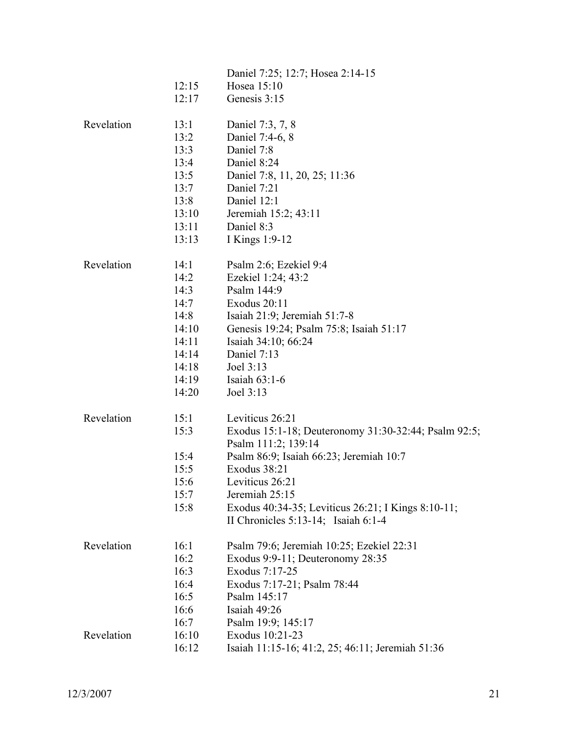|            | 12:15<br>12:17                                                                             | Daniel 7:25; 12:7; Hosea 2:14-15<br>Hosea 15:10<br>Genesis 3:15                                                                                                                                                                                                                                  |
|------------|--------------------------------------------------------------------------------------------|--------------------------------------------------------------------------------------------------------------------------------------------------------------------------------------------------------------------------------------------------------------------------------------------------|
| Revelation | 13:1<br>13:2<br>13:3<br>13:4<br>13:5<br>13:7<br>13:8<br>13:10<br>13:11<br>13:13            | Daniel 7:3, 7, 8<br>Daniel 7:4-6, 8<br>Daniel 7:8<br>Daniel 8:24<br>Daniel 7:8, 11, 20, 25; 11:36<br>Daniel 7:21<br>Daniel 12:1<br>Jeremiah 15:2; 43:11<br>Daniel 8:3<br>I Kings 1:9-12                                                                                                          |
| Revelation | 14:1<br>14:2<br>14:3<br>14:7<br>14:8<br>14:10<br>14:11<br>14:14<br>14:18<br>14:19<br>14:20 | Psalm 2:6; Ezekiel 9:4<br>Ezekiel 1:24; 43:2<br>Psalm 144:9<br>Exodus 20:11<br>Isaiah $21:9$ ; Jeremiah $51:7-8$<br>Genesis 19:24; Psalm 75:8; Isaiah 51:17<br>Isaiah 34:10; 66:24<br>Daniel 7:13<br>Joel 3:13<br>Isaiah $63:1-6$<br>Joel 3:13                                                   |
| Revelation | 15:1<br>15:3<br>15:4<br>15:5<br>15:6<br>15:7<br>15:8                                       | Leviticus 26:21<br>Exodus 15:1-18; Deuteronomy 31:30-32:44; Psalm 92:5;<br>Psalm 111:2; 139:14<br>Psalm 86:9; Isaiah 66:23; Jeremiah 10:7<br>Exodus 38:21<br>Leviticus 26:21<br>Jeremiah 25:15<br>Exodus 40:34-35; Leviticus 26:21; I Kings 8:10-11;<br>II Chronicles $5:13-14$ ; Isaiah $6:1-4$ |
| Revelation | 16:1<br>16:2<br>16:3<br>16:4<br>16:5<br>16:6<br>16:7                                       | Psalm 79:6; Jeremiah 10:25; Ezekiel 22:31<br>Exodus 9:9-11; Deuteronomy 28:35<br>Exodus 7:17-25<br>Exodus 7:17-21; Psalm 78:44<br>Psalm 145:17<br>Isaiah 49:26<br>Psalm 19:9; 145:17                                                                                                             |
| Revelation | 16:10<br>16:12                                                                             | Exodus 10:21-23<br>Isaiah 11:15-16; 41:2, 25; 46:11; Jeremiah 51:36                                                                                                                                                                                                                              |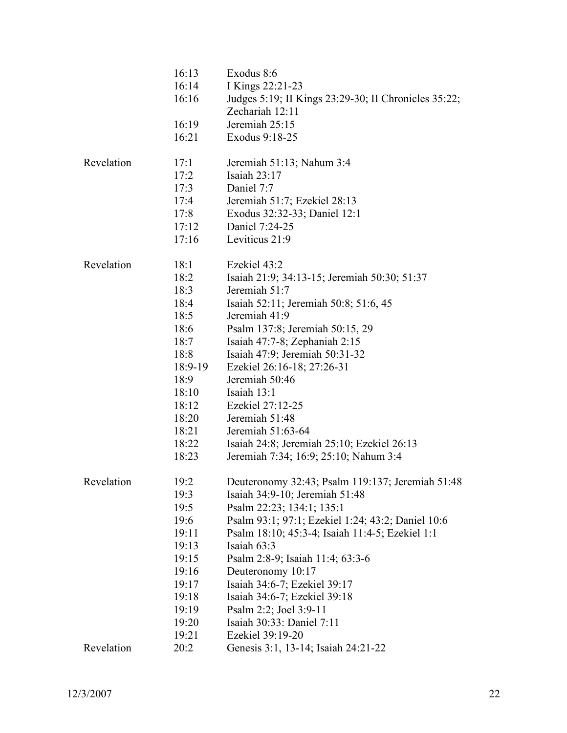|            | 16:13   | Exodus 8:6                                           |
|------------|---------|------------------------------------------------------|
|            | 16:14   | I Kings 22:21-23                                     |
|            | 16:16   | Judges 5:19; II Kings 23:29-30; II Chronicles 35:22; |
|            |         | Zechariah 12:11                                      |
|            | 16:19   | Jeremiah 25:15                                       |
|            | 16:21   | Exodus 9:18-25                                       |
|            |         |                                                      |
| Revelation | 17:1    | Jeremiah 51:13; Nahum 3:4                            |
|            | 17:2    | Isaiah $23:17$                                       |
|            | 17:3    | Daniel 7:7                                           |
|            | 17:4    | Jeremiah 51:7; Ezekiel 28:13                         |
|            | 17:8    | Exodus 32:32-33; Daniel 12:1                         |
|            | 17:12   | Daniel 7:24-25                                       |
|            | 17:16   | Leviticus 21:9                                       |
| Revelation | 18:1    | Ezekiel 43:2                                         |
|            | 18:2    | Isaiah 21:9; 34:13-15; Jeremiah 50:30; 51:37         |
|            | 18:3    | Jeremiah 51:7                                        |
|            | 18:4    | Isaiah 52:11; Jeremiah 50:8; 51:6, 45                |
|            | 18:5    | Jeremiah 41:9                                        |
|            | 18:6    | Psalm 137:8; Jeremiah 50:15, 29                      |
|            | 18:7    | Isaiah $47:7-8$ ; Zephaniah $2:15$                   |
|            | 18:8    | Isaiah 47:9; Jeremiah 50:31-32                       |
|            | 18:9-19 | Ezekiel 26:16-18; 27:26-31                           |
|            | 18:9    | Jeremiah 50:46                                       |
|            | 18:10   | Isaiah 13:1                                          |
|            | 18:12   | Ezekiel 27:12-25                                     |
|            | 18:20   | Jeremiah 51:48                                       |
|            | 18:21   | Jeremiah 51:63-64                                    |
|            | 18:22   | Isaiah 24:8; Jeremiah 25:10; Ezekiel 26:13           |
|            | 18:23   | Jeremiah 7:34; 16:9; 25:10; Nahum 3:4                |
|            |         |                                                      |
| Revelation | 19:2    | Deuteronomy 32:43; Psalm 119:137; Jeremiah 51:48     |
|            | 19:3    | Isaiah 34:9-10; Jeremiah 51:48                       |
|            | 19:5    | Psalm 22:23; 134:1; 135:1                            |
|            | 19:6    | Psalm 93:1; 97:1; Ezekiel 1:24; 43:2; Daniel 10:6    |
|            | 19:11   | Psalm 18:10; 45:3-4; Isaiah 11:4-5; Ezekiel 1:1      |
|            | 19:13   | Isaiah 63:3                                          |
|            | 19:15   | Psalm 2:8-9; Isaiah 11:4; 63:3-6                     |
|            | 19:16   | Deuteronomy 10:17                                    |
|            | 19:17   | Isaiah 34:6-7; Ezekiel 39:17                         |
|            | 19:18   | Isaiah 34:6-7; Ezekiel 39:18                         |
|            | 19:19   | Psalm 2:2; Joel 3:9-11                               |
|            | 19:20   | Isaiah 30:33: Daniel 7:11                            |
|            | 19:21   | Ezekiel 39:19-20                                     |
| Revelation | 20:2    | Genesis 3:1, 13-14; Isaiah 24:21-22                  |